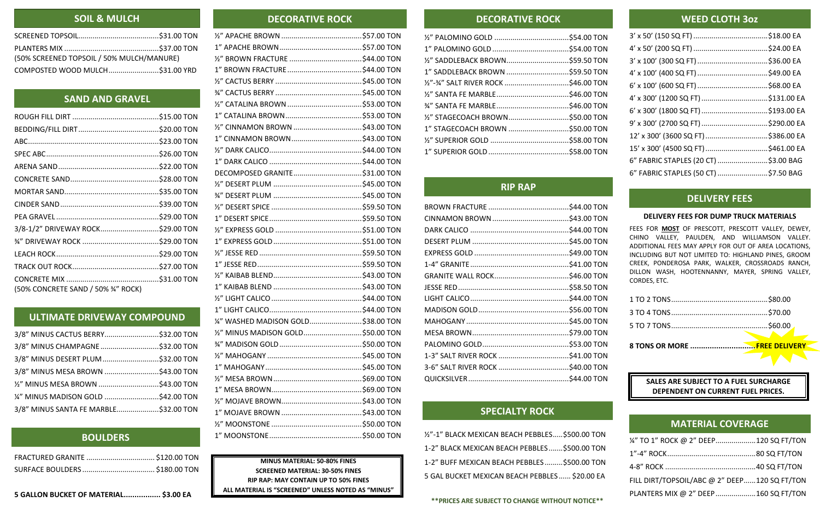| (50% SCREENED TOPSOIL / 50% MULCH/MANURE) |  |  |
|-------------------------------------------|--|--|
|                                           |  |  |

| 3/8-1/2" DRIVEWAY ROCK\$29.00 TON  |  |
|------------------------------------|--|
|                                    |  |
|                                    |  |
|                                    |  |
|                                    |  |
| (50% CONCRETE SAND / 50% 34" ROCK) |  |

| 3/8" MINUS CHAMPAGNE \$32.00 TON      |  |
|---------------------------------------|--|
|                                       |  |
|                                       |  |
| 1/2" MINUS MESA BROWN \$43.00 TON     |  |
| 1/4" MINUS MADISON GOLD \$42.00 TON   |  |
| 3/8" MINUS SANTA FE MARBLE\$32.00 TON |  |

**5 GALLON BUCKET OF MATERIAL................. \$3.00 EA**

| 1/4" WASHED MADISON GOLD\$38.00 TON |  |
|-------------------------------------|--|
| 1/2" MINUS MADISON GOLD\$50.00 TON  |  |
|                                     |  |
|                                     |  |
|                                     |  |
|                                     |  |
|                                     |  |
|                                     |  |
|                                     |  |
|                                     |  |
|                                     |  |
|                                     |  |

### **MINUS MATERIAL: 50-80% FINES SCREENED MATERIAL: 30-50% FINES RIP RAP: MAY CONTAIN UP TO 50% FINES ALL MATERIAL IS "SCREENED" UNLESS NOTED AS "MINUS"**

## **DECORATIVE ROCK DECORATIVE ROCK**

| 1" SADDLEBACK BROWN \$59.50 TON |  |
|---------------------------------|--|
|                                 |  |
|                                 |  |
|                                 |  |
|                                 |  |
|                                 |  |
|                                 |  |
|                                 |  |
|                                 |  |

| 1/2"-1" BLACK MEXICAN BEACH PEBBLES \$500.00 TON |  |
|--------------------------------------------------|--|
| 1-2" BLACK MEXICAN BEACH PEBBLES  \$500.00 TON   |  |
| 1-2" BUFF MEXICAN BEACH PEBBLES \$500.00 TON     |  |
| 5 GAL BUCKET MEXICAN BEACH PEBBLES  \$20.00 EA   |  |

**\*\*PRICES ARE SUBJECT TO CHANGE WITHOUT NOTICE\*\***

## **SANTA FE MARBLE DISCUSSED CLOTH 3oz**

| LLD CLOTTI 90 <i>L</i>               |  |
|--------------------------------------|--|
|                                      |  |
|                                      |  |
|                                      |  |
|                                      |  |
|                                      |  |
|                                      |  |
|                                      |  |
|                                      |  |
| 12' x 300' (3600 SQ FT) \$386.00 EA  |  |
| 15' x 300' (4500 SQ FT) \$461.00 EA  |  |
| 6" FABRIC STAPLES (20 CT) \$3.00 BAG |  |
| 6" FABRIC STAPLES (50 CT) \$7.50 BAG |  |

### **DELIVERY FEES FOR DUMP TRUCK MATERIALS**

FEES FOR **MOST** OF PRESCOTT, PRESCOTT VALLEY, DEWEY, CHINO VALLEY, PAULDEN, AND WILLIAMSON VALLEY. ADDITIONAL FEES MAY APPLY FOR OUT OF AREA LOCATIONS, INCLUDING BUT NOT LIMITED TO: HIGHLAND PINES, GROOM CREEK, PONDEROSA PARK, WALKER, CROSSROADS RANCH, DILLON WASH, HOOTENNANNY, MAYER, SPRING VALLEY, CORDES, ETC.

| 8 TONS OR MORE FREE DELIVERY |               |
|------------------------------|---------------|
|                              | $\sim$ $\sim$ |
|                              |               |
|                              |               |

**SALES ARE SUBJECT TO A FUEL SURCHARGE DEPENDENT ON CURRENT FUEL PRICES.**

| 1/4" TO 1" ROCK @ 2" DEEP120 SQ FT/TON       |  |
|----------------------------------------------|--|
|                                              |  |
|                                              |  |
| FILL DIRT/TOPSOIL/ABC @ 2" DEEP120 SQ FT/TON |  |
| PLANTERS MIX @ 2" DEEP160 SQ FT/TON          |  |

## **SOIL & MULCH**

## **SAND AND GRAVEL**

## **ULTIMATE DRIVEWAY COMPOUND**

## **RIP RAP**

## **BOULDERS**

## **DELIVERY FEES**

## **MATERIAL COVERAGE**

## **SPECIALTY ROCK**